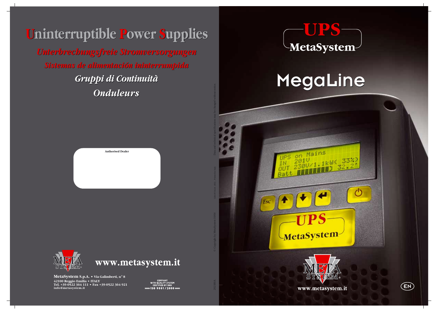

*Sistemas de alimentación ininterrumpida Sistemas de alimentación ininterrumpida Unterbrechungsfreie Stromversorgungen Unterbrechungsfreie Stromversorgungen*

# **Uninterruptible Power Supplies ninterruptible Power Supplies**





**MetaSystem S.p.A. • Via Galimberti, n**°**<sup>8</sup> 42100 Reggio Emilia • ITALY Tel. +39-0522 364 111 • Fax +39-0522 364 921 info@metasystem.it**





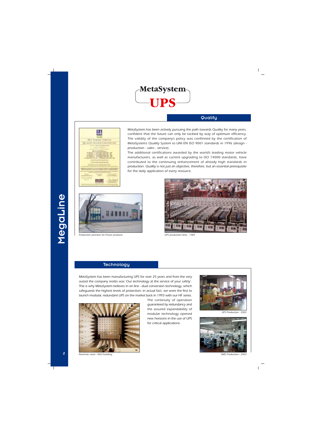

### **Quality**



*MetaSystem has been actively pursuing the path towards Quality for many years, confident that the future can only be tackled by way of optimum efficiency. The validity of the company's policy was confirmed by the certification of MetaSystem's Quality System to UNI EN ISO 9001 standards in 1996 (design production - sales - service).*

*The additional certifications awarded by the world's leading motor vehicle manufacturers, as well as current upgrading to ISO 14000 standards, have contributed to the continuing enhancement of already high standards in production. Quality is not just an objective, therefore, but an essential prerequisite for the daily application of every resource.*



*Production premises for Power products UPS production lines - 1989*



### **Technology**

*MetaSystem has been manufacturing UPS for over 25 years and from the very outset the company motto was 'Our technology at the service of your safety'. This is why MetaSystem believes in on line - dual conversion technology, which safeguards the highest levels of protection; in actual fact, we were the first to launch modular, redundant UPS on the market back in 1993 with our HF series.*



*The continuity of operation guaranteed by redundancy and the assured expandability of modular technology opened new horizons in the use of UPS for critical applications.*



*UPS Production - 2002*

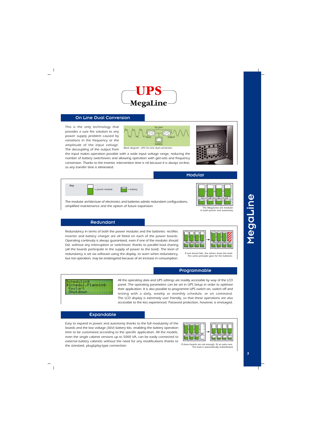

### On Line Dual Conversion

*This is the only technology that provides a sure fire solution to any power supply problem caused by variations in the frequency or the amplitude of the input voltage. The decoupling of the output from*



*Block diagram - UPS On Line dual conversion*

*the input makes operation possible with a wide input voltage range, reducing the number of battery switchovers and allowing operation with gen-sets and frequency conversion. Thanks to the inverter, intervention time is nil because it is always on-line, so any transfer time is eliminated.*



*The modular architecture of electronics and batteries admits redundant configurations, simplified maintenance and the option of future expansion.*



### Modular



*The MegaLines are modular in both power and autonomy*

### Redundant

*Redundancy in terms of both the power modules and the batteries: rectifier, inverter and battery charger are all fitted on each of the power boards. Operating continuity is always guaranteed, even if one of the modules should fail, without any interruption or switchover, thanks to parallel load sharing (all the boards participate in the supply of power to the load). The level of redundancy is set via software using the display, to warn when redundancy, but not operation, may be endangered because of an increase in consumption.*



*If one board fails, the others share the load. The same principle goes for the batteries.*

### Programmable



*All the operating data and UPS settings are readily accessible by way of the LCD panel. The operating parameters can be set in UPS Setup in order to optimise their application. It is also possible to programme UPS switch on, switch off and testing with a daily, weekly or monthly schedule, or on command. The LCD display is extremely user friendly, so that these operations are also accessible to the less experienced. Password protection, however, is envisaged.*

### Expandable

*Easy to expand in power and autonomy thanks to the full modularity of the boards and the low voltage (36V) battery kits, enabling the battery operation time to be customised according to the specific application. All the models, even the single cabinet versions up to 5000 VA, can be easily connected to external battery cabinets without the need for any modifications thanks to the standard, plug&play-type connection.*



*If three boards are not enough, fit an extra one. The load is automatically redistributed*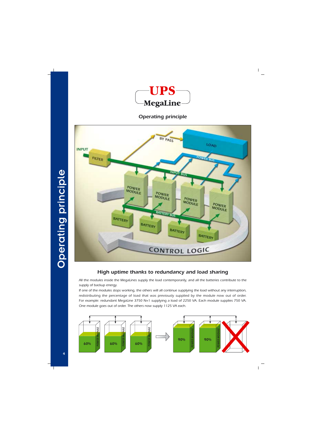

# *Operating principle*



## *High uptime thanks to redundancy and load sharing*

*All the modules inside the MegaLines supply the load contemporarily, and all the batteries contribute to the supply of backup energy.*

*If one of the modules stops working, the others will all continue supplying the load without any interruption, redistributing the percentage of load that was previously supplied by the module now out of order. For example: redundant MegaLine 3750 N+1 supplying a load of 2250 VA. Each module supplies 750 VA. One module goes out of order. The others now supply 1125 VA each.*

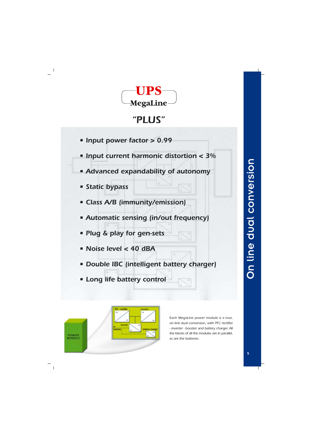

# *"PLUS"*

- *Input power factor > 0.99*
- *Input current harmonic distortion < 3%*
- *Advanced expandability of autonomy*
- *Static bypass*
- *Class A/B (immunity/emission)*
- *Automatic sensing (in/out frequency)*
- *Plug & play for gen-sets*
- *Noise level < 40 dBA*
- *Double IBC (intelligent battery charger)*
- *Long life battery control*



*Each MegaLine power module is a true, on line dual conversion, with PFC rectifier - inverter - booster and battery charger. All the blocks of all the modules are in parallel, as are the batteries.*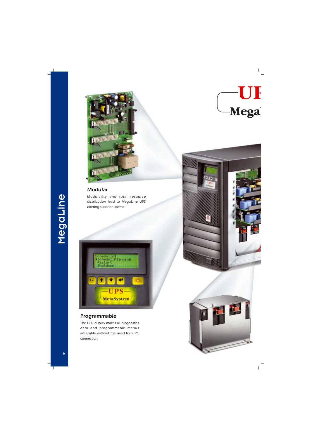

### *Modular*

*Modularity and total resource distribution lead to MegaLine UPS offering superior uptime.*



### *Programmable*

*The LCD display makes all diagnostics data and programmable menus accessible without the need for a PC connection.*





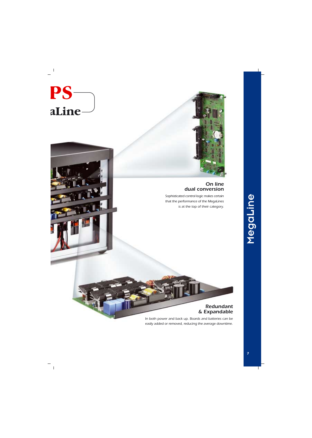

### *On line dual conversion*

*Sophisticated control logic makes certain that the performance of the MegaLines is at the top of their category.*

### *Redundant & Expandable*

*In both power and back up. Boards and batteries can be easily added or removed, reducing the average downtime.*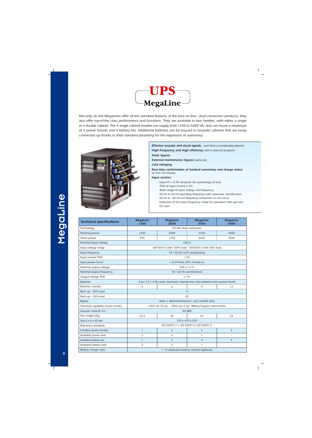

*Not only do the MegaLines offer all the standard features of the best on line - dual conversion products, they also offer top-of-the class performance and functions. They are available in two families, with either a single or a double cabinet. The 4 single cabinet models can supply from 1250 to 5000 VA, and can house a maximum of 4 power boards and 4 battery kits. Additional batteries can be housed in bespoke cabinets that are easily connected up thanks to their standard presetting for the expansion of autonomy.*



### *Effective acoustic and visual signals, even from a considerable distance High Frequency and high efficiency with a reduced footprint*

*Static bypass*

*External maintenance bypass (optional)*

*Cold charging*

*Real time confirmation of residual autonomy and charge status on the LCD display*

*Input section:*

*Input PF > 0.98 whatever the percentage of load THD of input current < 3%*

*Wide range of input voltage and frequency*

*50 Hz or 60 Hz operating frequency with automatic identification*

*50 Hz in - 60 Hz out frequency conversion or vice versa*

*Extension of the input frequency range for operation with gen-sets DC start*

| <b>Technical specifications</b>  | <b>MegaLine</b><br>1250                                                       | <b>MegaLine</b><br>2500                                        | <b>MegaLine</b><br>3750 | <b>MegaLine</b><br>5000 |  |  |  |
|----------------------------------|-------------------------------------------------------------------------------|----------------------------------------------------------------|-------------------------|-------------------------|--|--|--|
| Technology                       | On line dual conversion                                                       |                                                                |                         |                         |  |  |  |
| Nominal power                    | 1250                                                                          | 2500                                                           | 3750                    | 5000                    |  |  |  |
| Active power                     | 875                                                                           | 1750                                                           | 2625                    | 3500                    |  |  |  |
| Nominal input voltage            | 230 V                                                                         |                                                                |                         |                         |  |  |  |
| Input voltage range              | 184÷264 V with 100% load - 100÷264 V with 50% load                            |                                                                |                         |                         |  |  |  |
| Input frequency                  | 50 / 60 Hz $\pm$ 2% autosensing                                               |                                                                |                         |                         |  |  |  |
| Input current THD                | $< 3\%$                                                                       |                                                                |                         |                         |  |  |  |
| Input power factor               | $> 0.99$ from 20% of load on                                                  |                                                                |                         |                         |  |  |  |
| Nominal output voltage           | 230 V $\pm$ 1%                                                                |                                                                |                         |                         |  |  |  |
| Nominal output frequency         | 50 / 60 Hz synchronized                                                       |                                                                |                         |                         |  |  |  |
| Output voltage THD               | $< 1\%$                                                                       |                                                                |                         |                         |  |  |  |
| <b>Batteries</b>                 | 3 pcs 12 V 9 Ah seald, lead-acid, maintenance free batteries each power board |                                                                |                         |                         |  |  |  |
| Batteries number                 | 3<br>9<br>12<br>6                                                             |                                                                |                         |                         |  |  |  |
| Back up - 80% load               |                                                                               | 11                                                             |                         |                         |  |  |  |
| Back up - 50% load               | 20                                                                            |                                                                |                         |                         |  |  |  |
| <b>Bypass</b>                    | Static + electromechanical - zero transfer time                               |                                                                |                         |                         |  |  |  |
| Overload capability (mains mode) |                                                                               | 150% for 30 sec. - 200% for 5 sec. Without bypass intervention |                         |                         |  |  |  |
| Acoustic noise @ 1m              | 40 dBA                                                                        |                                                                |                         |                         |  |  |  |
| Net weight (Kg)                  | 23,5                                                                          | 34                                                             | 43                      | 53                      |  |  |  |
| Size $(1 \times h \times d)$ mm  | 270 x 475 x 570                                                               |                                                                |                         |                         |  |  |  |
| Reference standards              | EN 50091-1-1, EN 50091-2, EN 50091-3                                          |                                                                |                         |                         |  |  |  |
| Installed power boards           | $\mathbf{1}$                                                                  | $\overline{2}$                                                 | 3                       | $\overline{4}$          |  |  |  |
| Available power slots            | 3                                                                             | 2                                                              | 1                       |                         |  |  |  |
| Installed battery kits           | $\mathbf{1}$                                                                  | 2                                                              | 3                       | $\overline{4}$          |  |  |  |
| Available battery slots          | 3                                                                             | $\overline{2}$                                                 | $\mathbf{1}$            | ÷,                      |  |  |  |
| Battery charger slots            |                                                                               | 1 - in dedicated battery cabinet (optional)                    |                         |                         |  |  |  |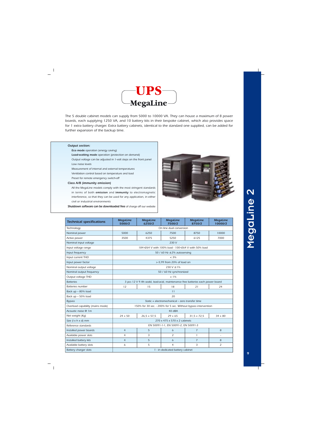

*The 5 double cabinet models can supply from 5000 to 10000 VA. They can house a maximum of 8 power boards, each supplying 1250 VA, and 10 battery kits in their bespoke cabinet, which also provides space for 1 extra battery charger. Extra battery cabinets, identical to the standard one supplied, can be added for further expansion of the backup time.*

### *Output section:*

*Eco mode operation (energy saving)*

*Load-waiting mode operation (protection on demand)*

*Output voltage can be adjusted in 1-volt steps on the front panel Low noise levels*

*Measurement of internal and external temperatures*

*Ventilation control based on temperature and load*

*Preset for remote emergency switch-off*

### *Class A/B (immunity emission)*

*All the MegaLine models comply with the most stringent standards in terms of both emission and immunity to electromagnetic interference, so that they can be used for any application, in either civil or industrial environments*

*Shutdown software can be downloaded free of charge off our website*



| <b>Technical specifications</b>  | <b>MegaLine</b><br>5000/2                                                     | <b>MegaLine</b><br>6250/2 | <b>MegaLine</b><br>7500/2                                      | <b>MegaLine</b><br>8750/2 | <b>MegaLine</b><br>10000/2 |  |  |  |
|----------------------------------|-------------------------------------------------------------------------------|---------------------------|----------------------------------------------------------------|---------------------------|----------------------------|--|--|--|
| Technology                       |                                                                               |                           | On line dual conversion                                        |                           |                            |  |  |  |
| Nominal power                    | 5000                                                                          | 6250                      | 7500                                                           | 8750                      | 10000                      |  |  |  |
| Active power                     | 3500                                                                          | 4375                      | 5250                                                           | 6125                      | 7000                       |  |  |  |
| Nominal input voltage            |                                                                               |                           | 230 V                                                          |                           |                            |  |  |  |
| Input voltage range              |                                                                               |                           | 184÷264 V with 100% load - 100÷264 V with 50% load             |                           |                            |  |  |  |
| Input frequency                  |                                                                               |                           | 50 / 60 Hz $\pm$ 2% autosensing                                |                           |                            |  |  |  |
| Input current THD                | $< 3\%$                                                                       |                           |                                                                |                           |                            |  |  |  |
| Input power factor               | $> 0.99$ from 20% of load on                                                  |                           |                                                                |                           |                            |  |  |  |
| Nominal output voltage           | $230 V \pm 1\%$                                                               |                           |                                                                |                           |                            |  |  |  |
| Nominal output frequency         | 50 / 60 Hz synchronized                                                       |                           |                                                                |                           |                            |  |  |  |
| Output voltage THD               | $< 1\%$                                                                       |                           |                                                                |                           |                            |  |  |  |
| <b>Batteries</b>                 | 3 pcs 12 V 9 Ah seald, lead-acid, maintenance free batteries each power board |                           |                                                                |                           |                            |  |  |  |
| <b>Batteries number</b>          | 12<br>15<br>18<br>21<br>24                                                    |                           |                                                                |                           |                            |  |  |  |
| Back up - 80% load               |                                                                               |                           | 11                                                             |                           |                            |  |  |  |
| Back up - 50% load               |                                                                               |                           | 20                                                             |                           |                            |  |  |  |
| <b>Bypass</b>                    |                                                                               |                           | Static + electromechanical – zero transfer time                |                           |                            |  |  |  |
| Overload capability (mains mode) |                                                                               |                           | 150% for 30 sec. - 200% for 5 sec. Without bypass intervention |                           |                            |  |  |  |
| Acoustic noise @ 1m              | 40 dBA                                                                        |                           |                                                                |                           |                            |  |  |  |
| Net weight (Kg)                  | $24 + 50$                                                                     | $26,5 + 57,5$             | $29 + 65$                                                      | $31,5 + 72,5$             | $34 + 80$                  |  |  |  |
| Size (I x h x d) mm              | 270 x 475 x 570 x 2 cabinets                                                  |                           |                                                                |                           |                            |  |  |  |
| Reference standards              | EN 50091-1-1, EN 50091-2, EN 50091-3                                          |                           |                                                                |                           |                            |  |  |  |
| Installed power boards           | $\overline{4}$                                                                | 5                         | 6                                                              | $\overline{7}$            | 8                          |  |  |  |
| Available power slots            | 4                                                                             | 3                         | 2                                                              | 1                         |                            |  |  |  |
| Installed battery kits           | $\overline{4}$                                                                | 5                         | 6                                                              | $\overline{7}$            | 8                          |  |  |  |
| Available battery slots          | 6                                                                             | 5                         | $\overline{4}$                                                 | 3                         | $\overline{2}$             |  |  |  |
| Battery charger slots            |                                                                               |                           | 1 - in dedicated battery cabinet                               |                           |                            |  |  |  |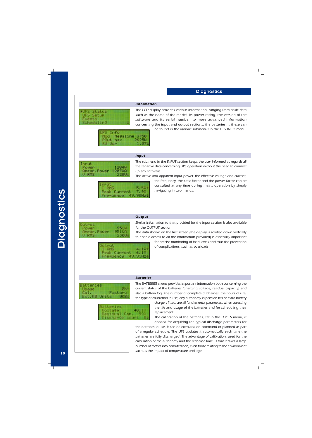

*The LCD display provides various information, ranging from basic data such as the name of the model, its power rating, the version of the software and its serial number, to more advanced information concerning the input and output sections, the batteries … these can*

*be found in the various submenus in the UPS INFO menu.*

Info UP 5 Megaline Mod 3750 POut max 2625W **W** Ver 1.074

### *Input*



*The submenu in the INPUT section keeps the user informed as regards all the sensitive data concerning UPS operation without the need to connect up any software.*

*The active and apparent input power, the effective voltage and current,*



*the frequency, the crest factor and the power factor can be consulted at any time during mains operation by simply navigating in two menus.*

### Output Power 95 I V 951UA APPar. Power RMS उता

*Output*

*Similar information to that provided for the input section is also available for the OUTPUT section.*

*The data shown on the first screen (the display is scrolled down vertically to enable access to all the information provided) is especially important*

Put **RMS**  $4.161$  $rac{6}{91}$  $rac{10}{112}$ Peak Current 49. nesuency

*for precise monitoring of load levels and thus the prevention of complications, such as overloads.*

### *Batteries*



| Batteries<br>Voltage 40.1<br>Residual Car. 99<br>Discharge count |  |
|------------------------------------------------------------------|--|

*The BATTERIES menu provides important information both concerning the current status of the batteries (charging voltage, residual capacity) and also a battery log. The number of complete discharges, the hours of use, the type of calibration in use, any autonomy expansion kits or extra battery*

> *chargers fitted, are all fundamental parameters when assessing the life and usage of the batteries and for scheduling their replacement.*

> *The calibration of the batteries, set in the TOOLS menu, is needed for acquiring the typical discharge parameters for*

*the batteries in use. It can be executed on command or planned as part of a regular schedule. The UPS updates it automatically each time the batteries are fully discharged. The advantage of calibration, used for the calculation of the autonomy and the recharge time, is that it takes a large number of factors into consideration, even those relating to the environment such as the impact of temperature and age.*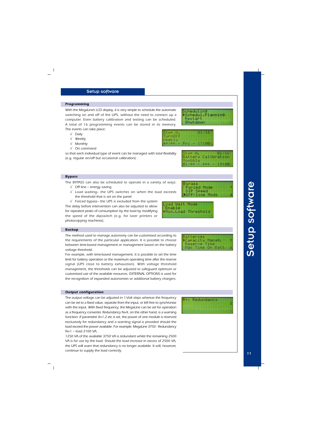### Setup software

### *Programming*

*With the MegaLine's LCD display, it is very simple to schedule the automatic switching on and off of the UPS, without the need to connect up a computer. Even battery calibration and testing can be scheduled. A total of 16 programming events can be stored in its memory. The events can take place:*

- √ *Daily*
- √ *Weekly*
- √ *Monthly*
- √ *On command*

*so that each individual type of event can be managed with total flexibility (e.g. regular on/off but occasional calibration).*

### *Bypass*

*The BYPASS can also be scheduled to operate in a variety of ways:*

- √ *Off line energy saving*
- √ *Load waiting– the UPS switches on when the load exceeds the threshold that is set on the panel*
- √ *Forced bypass– the UPS is excluded from the system*

*The delay before intervention can also be adjusted to allow for repeated peaks of consumption by the load by modifying the speed of the dipswitch (e.g. for laser printers or photocopying machines).*

### *Backup*

*The method used to manage autonomy can be customised according to the requirements of the particular application. It is possible to choose between time-based management or management based on the battery voltage threshold.*

*For example, with time-based management, it is possible to set the time limit for battery operation or the maximum operating time after the reserve signal (UPS close to battery exhaustion). With voltage threshold management, the thresholds can be adjusted to safeguard optimum or customised use of the available resources. EXTERNAL OPTIONS is used for the recognition of expanded autonomies or additional battery chargers.*

### *Output configuration*

*The output voltage can be adjusted in 1-Volt steps whereas the frequency can be set to a fixed value, separate from the input, or left free to synchronise with the input. With fixed frequency, the MegaLine can be set for operation as a frequency converter. Redundancy N+X, on the other hand, is a warning function: if parameter X=1,2 etc is set, the power of one module is reserved exclusively for redundancy and a warning signal is provided should the load exceed the power available. For example: MegaLine 3750 - Redundancy N+1 – load 2100 VA.*

*1250 VA of the available 3750 VA is redundant whilst the remaining 2500 VA is for use by the load. Should the load increase in excess of 2500 VA, the UPS will warn that redundancy is no longer available. It will, however, continue to supply the load correctly.*







atteries

aracity Manag. Reserve Time Max Time On Batt



Fri

お年ご 和田 一

Restart

cheduling

Schedul.Planning



17460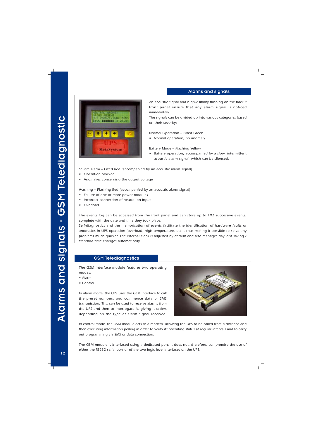### Alarms and signals



*An acoustic signal and high-visibility flashing on the backlit front panel ensure that any alarm signal is noticed immediately.*

*The signals can be divided up into various categories based on their severity:*

*Normal Operation – Fixed Green*

*• Normal operation, no anomaly.*

*Battery Mode – Flashing Yellow*

*• Battery operation, accompanied by a slow, intermittent acoustic alarm signal, which can be silenced.*

*Severe alarm – Fixed Red (accompanied by an acoustic alarm signal)*

- *• Operation blocked*
- *• Anomalies concerning the output voltage*

*Warning – Flashing Red (accompanied by an acoustic alarm signal)*

- *• Failure of one or more power modules*
- *• Incorrect connection of neutral on input*
- *• Overload*

*The events log can be accessed from the front panel and can store up to 192 successive events, complete with the date and time they took place.*

*Self-diagnostics and the memorisation of events facilitate the identification of hardware faults or anomalies in UPS operation (overload, high temperature, etc.), thus making it possible to solve any problems much quicker. The internal clock is adjusted by default and also manages daylight saving / standard time changes automatically.*

### GSM Telediagnostics

*The GSM interface module features two operating modes:*

- *Alarm*
- *Control*

*In alarm mode, the UPS uses the GSM interface to call the preset numbers and commence data or SMS transmission. This can be used to receive alarms from the UPS and then to interrogate it, giving it orders depending on the type of alarm signal received.*



*In control mode, the GSM module acts as a modem, allowing the UPS to be called from a distance and then executing information polling in order to verify its operating status at regular intervals and to carry out programming via SMS or data connection.*

*The GSM module is interfaced using a dedicated port; it does not, therefore, compromise the use of either the RS232 serial port or of the two logic level interfaces on the UPS.*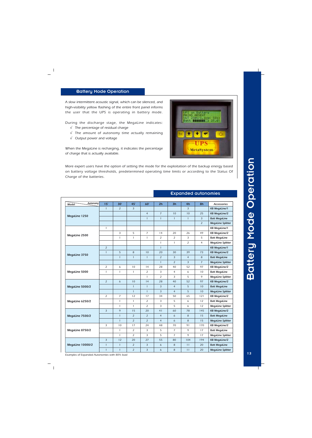# Battery Mode Operation Battery Mode Operation

### Battery Mode Operation

*A slow intermittent acoustic signal, which can be silenced, and high-visibility yellow flashing of the entire front panel informs the user that the UPS is operating in battery mode.*

*During the discharge stage, the MegaLine indicates:*

- √ *The percentage of residual charge*
- √ *The amount of autonomy time actually remaining*
- √ *Output power and voltage*

*When the MegaLine is recharging, it indicates the percentage of charge that is actually available.*

*More expert users have the option of setting the mode for the exploitation of the backup energy based on battery voltage thresholds, predetermined operating time limits or according to the Status Of Charge of the batteries.*

| Autonomy<br>Model | 15'            | 30'            | 45'            | 60'             | 2 <sub>h</sub> | 3h             | 4h             | 8h              | <b>Accessories</b>       |
|-------------------|----------------|----------------|----------------|-----------------|----------------|----------------|----------------|-----------------|--------------------------|
| MegaLine 1250     | $\mathbf{1}$   | $\overline{2}$ | $\overline{3}$ |                 |                |                | $\overline{3}$ |                 | <b>KB MegaLine/1</b>     |
|                   |                |                |                | $\overline{4}$  | $\overline{7}$ | 10             | 10             | 25              | <b>KB MegaLine/2</b>     |
|                   |                |                |                | $\mathbf{1}$    | $\mathbf{1}$   | $\mathbf{1}$   | $\mathbf{1}$   | $\overline{3}$  | <b>Batt MegaLine</b>     |
|                   |                |                |                |                 |                |                |                | $\overline{2}$  | <b>MegaLine Splitter</b> |
| MegaLine 2500     | $\mathbf{1}$   |                |                |                 |                |                |                |                 | <b>KB MegaLine/1</b>     |
|                   |                | 3              | 5              | $\overline{7}$  | 14             | 20             | 26             | 49              | <b>KB MegaLine/2</b>     |
|                   |                | $\mathbf{1}$   | $\mathbf{1}$   | $\mathbf{1}$    | 2              | $\overline{2}$ | 3              | 5               | <b>Batt MegaLine</b>     |
|                   |                |                |                |                 | $\mathbf{1}$   | $\mathbf{1}$   | $\overline{2}$ | $\overline{4}$  | <b>MegaLine Splitter</b> |
|                   | $\overline{2}$ |                |                |                 | $\mathbf{1}$   |                |                |                 | <b>KB MegaLine/1</b>     |
|                   | $\mathbf{1}$   | 5              | 8              | 10 <sup>°</sup> | 20             | 30             | 39             | 73              | <b>KB MegaLine/2</b>     |
| MegaLine 3750     |                | $\mathbf{1}$   | $\mathbf{1}$   | $\mathbf{1}$    | $\overline{2}$ | $\overline{3}$ | $\overline{4}$ | 8               | <b>Batt MegaLine</b>     |
|                   |                |                |                |                 | $\mathbf{1}$   | $\overline{2}$ | $\overline{3}$ | $7^{\circ}$     | <b>MegaLine Splitter</b> |
| MegaLine 5000     | $\overline{2}$ | 6              | 10             | 14              | 28             | 40             | 52             | 97              | <b>KB MegaLine/2</b>     |
|                   | $\mathbf{1}$   | $\mathbf{1}$   | $\mathbf{1}$   | 2               | 3              | 4              | 6              | 10              | <b>Batt MegaLine</b>     |
|                   |                |                |                | $\mathbf{1}$    | 2              | 3              | 5              | 9               | <b>MegaLine Splitter</b> |
|                   | $\overline{2}$ | $\epsilon$     | 10             | 14              | 28             | 40             | 52             | 97              | <b>KB MegaLine/2</b>     |
| MegaLine 5000/2   |                |                | $\mathbf{1}$   | $\mathbf{1}$    | 3              | $\overline{4}$ | 5              | 10 <sup>°</sup> | <b>Batt MegaLine</b>     |
|                   |                |                | $\mathbf{1}$   | $\mathbf{1}$    | 3              | $\overline{4}$ | 5              | 10 <sup>°</sup> | <b>MegaLine Splitter</b> |
| MegaLine 6250/2   | $\overline{2}$ | $\overline{7}$ | 12             | 17              | 34             | 50             | 65             | 121             | <b>KB MegaLine/2</b>     |
|                   |                | $\mathbf{1}$   | $\mathbf{1}$   | 2               | 3              | 5              | 6              | 12              | <b>Batt MegaLine</b>     |
|                   |                | $\mathbf{1}$   | $\mathbf{1}$   | $\overline{2}$  | 3              | 5              | 6              | 12              | <b>MegaLine Splitter</b> |
| MegaLine 7500/2   | $\overline{3}$ | 9              | 15             | 20              | 41             | 60             | 78             | 145             | <b>KB MegaLine/2</b>     |
|                   |                | $\mathbf{1}$   | $\overline{2}$ | $\overline{2}$  | $\overline{4}$ | 6              | 8              | 15              | <b>Batt MegaLine</b>     |
|                   |                | $\mathbf{1}$   | $\overline{2}$ | $\overline{2}$  | $\overline{4}$ | 6              | 8              | 15              | <b>MegaLine Splitter</b> |
| MegaLine 8750/2   | 3              | 10             | 17             | 24              | 48             | 70             | 91             | 170             | <b>KB MegaLine/2</b>     |
|                   |                | $\mathbf{1}$   | 2              | 3               | 5              | $\overline{7}$ | 9              | 17              | <b>Batt MegaLine</b>     |
|                   |                | $\mathbf{1}$   | $\overline{2}$ | 3               | 5              | $\overline{7}$ | 9              | 17              | <b>MegaLine Splitter</b> |
| MegaLine 10000/2  | $\overline{3}$ | 12             | 20             | 27              | 55             | 80             | 104            | 194             | <b>KB MegaLine/2</b>     |
|                   | $\mathbf{1}$   | $\mathbf{1}$   | $\overline{2}$ | 3               | 6              | 8              | 11             | 20              | <b>Batt MegaLine</b>     |
|                   | $\mathbf{1}$   | $\mathbf{1}$   | $\overline{2}$ | 3               | 6              | 8              | 11             | 20              | <b>MegaLine Splitter</b> |

### Expanded autonomies

RESENT **FINITE** 

**MetaSystem** 

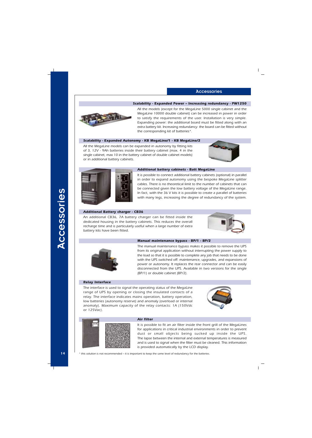### *Scalability - Expanded Power – Increasing redundancy - PW1250*



*All the models (except for the MegaLine 5000 single cabinet and the MegaLine 10000 double cabinet) can be increased in power in order to satisfy the requirements of the user. Installation is very simple. Expanding power: the additional board must be fitted along with an extra battery kit. Increasing redundancy: the board can be fitted without the corresponding kit of batteries\*.*

### *Scalability - Expanded Autonomy - KB MegaLine/1 - KB MegaLine/2*

*All the MegaLine models can be expanded in autonomy by fitting kits of 3, 12V - 9Ah batteries inside their battery cabinet (max. 4 in the single cabinet, max 10 in the battery cabinet of double cabinet models) or in additional battery cabinets.*





### *Additional battery cabinets - Batt MegaLine*

*It is possible to connect additional battery cabinets (optional) in parallel in order to expand autonomy using the bespoke MegaLine splitter cables. There is no theoretical limit to the number of cabinets that can be connected given the low battery voltage of the MegaLine range. In fact, with the 36 V kits it is possible to create a parallel of batteries with many legs, increasing the degree of redundancy of the system.*

### *Additional Battery charger - CB36*

*An additional CB36, 7A battery charger can be fitted inside the dedicated housing in the battery cabinets. This reduces the overall recharge time and is particularly useful when a large number of extra battery kits have been fitted.*





### *Manual maintenance bypass - BP/1 - BP/2*

*The manual maintenance bypass makes it possible to remove the UPS from its original application without interrupting the power supply to the load so that it is possible to complete any job that needs to be done with the UPS switched off: maintenance, upgrades, and expansions of power or autonomy. It replaces the rear connector and can be easily disconnected from the UPS. Available in two versions for the single (BP/1) or double cabinet (BP/2).*

### *Relay Interface*

*The interface is used to signal the operating status of the MegaLine range of UPS by opening or closing the insulated contacts of a relay. The interface indicates mains operation, battery operation, low batteries (autonomy reserve) and anomaly (overload or internal anomaly). Maximum capacity of the relay contacts: 1A (150Vdc or 125Vac).*





### *Air filter*

*It is possible to fit an air filter inside the front grill of the MegaLines for applications in critical industrial environments in order to prevent dust or small objects being sucked up inside the UPS. The lapse between the internal and external temperatures is measured and is used to signal when the filter must be cleaned. This information is provided automatically by the LCD display.*